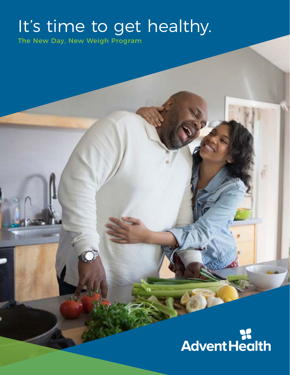## It's time to get healthy.

The New Day, New Weigh Program

# **SE**<br>Advent Health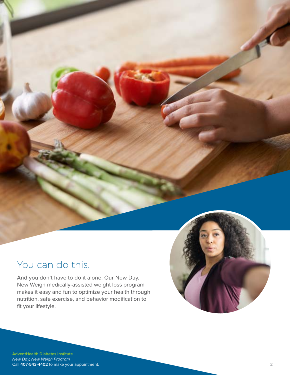## You can do this.

And you don't have to do it alone. Our New Day, New Weigh medically-assisted weight loss program makes it easy and fun to optimize your health through nutrition, safe exercise, and behavior modification to fit your lifestyle.

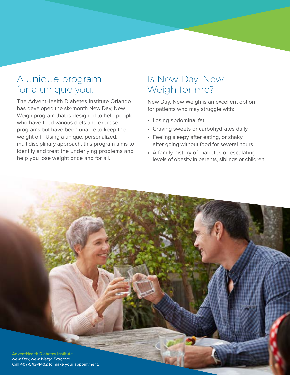## A unique program for a unique you.

The AdventHealth Diabetes Institute Orlando has developed the six-month New Day, New Weigh program that is designed to help people who have tried various diets and exercise programs but have been unable to keep the weight off. Using a unique, personalized, multidisciplinary approach, this program aims to identify and treat the underlying problems and help you lose weight once and for all.

## Is New Day, New Weigh for me?

New Day, New Weigh is an excellent option for patients who may struggle with:

- Losing abdominal fat
- Craving sweets or carbohydrates daily
- Feeling sleepy after eating, or shaky after going without food for several hours
- A family history of diabetes or escalating levels of obesity in parents, siblings or children

**3**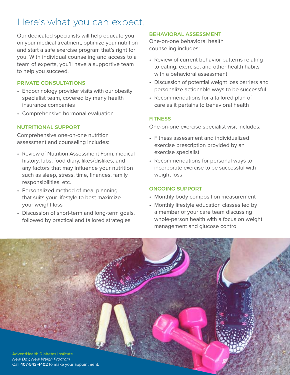## Here's what you can expect.

Our dedicated specialists will help educate you on your medical treatment, optimize your nutrition and start a safe exercise program that's right for you. With individual counseling and access to a team of experts, you'll have a supportive team to help you succeed.

#### PRIVATE CONSULTATIONS

- Endocrinology provider visits with our obesity specialist team, covered by many health insurance companies
- Comprehensive hormonal evaluation

#### NUTRITIONAL SUPPORT

Comprehensive one-on-one nutrition assessment and counseling includes:

- Review of Nutrition Assessment Form, medical history, labs, food diary, likes/dislikes, and any factors that may influence your nutrition such as sleep, stress, time, finances, family responsibilities, etc.
- Personalized method of meal planning that suits your lifestyle to best maximize your weight loss
- Discussion of short-term and long-term goals, followed by practical and tailored strategies

#### BEHAVIORAL ASSESSMENT

One-on-one behavioral health counseling includes:

- Review of current behavior patterns relating to eating, exercise, and other health habits with a behavioral assessment
- Discussion of potential weight loss barriers and personalize actionable ways to be successful
- Recommendations for a tailored plan of care as it pertains to behavioral health

#### **FITNESS**

One-on-one exercise specialist visit includes:

- Fitness assessment and individualized exercise prescription provided by an exercise specialist
- Recommendations for personal ways to incorporate exercise to be successful with weight loss

#### ONGOING SUPPORT

- Monthly body composition measurement
- Monthly lifestyle education classes led by a member of your care team discussing whole-person health with a focus on weight management and glucose control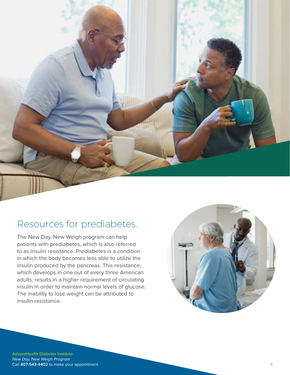

## Resources for prediabetes.

The New Day, New Weigh program can help patients with prediabetes, which is also referred to as insulin resistance. Prediabetes is a condition in which the body becomes less able to utilize the insulin produced by the pancreas. This resistance, which develops in one out of every three American adults, results in a higher requirement of circulating insulin in order to maintain normal levels of glucose. The inability to lose weight can be attributed to insulin resistance.